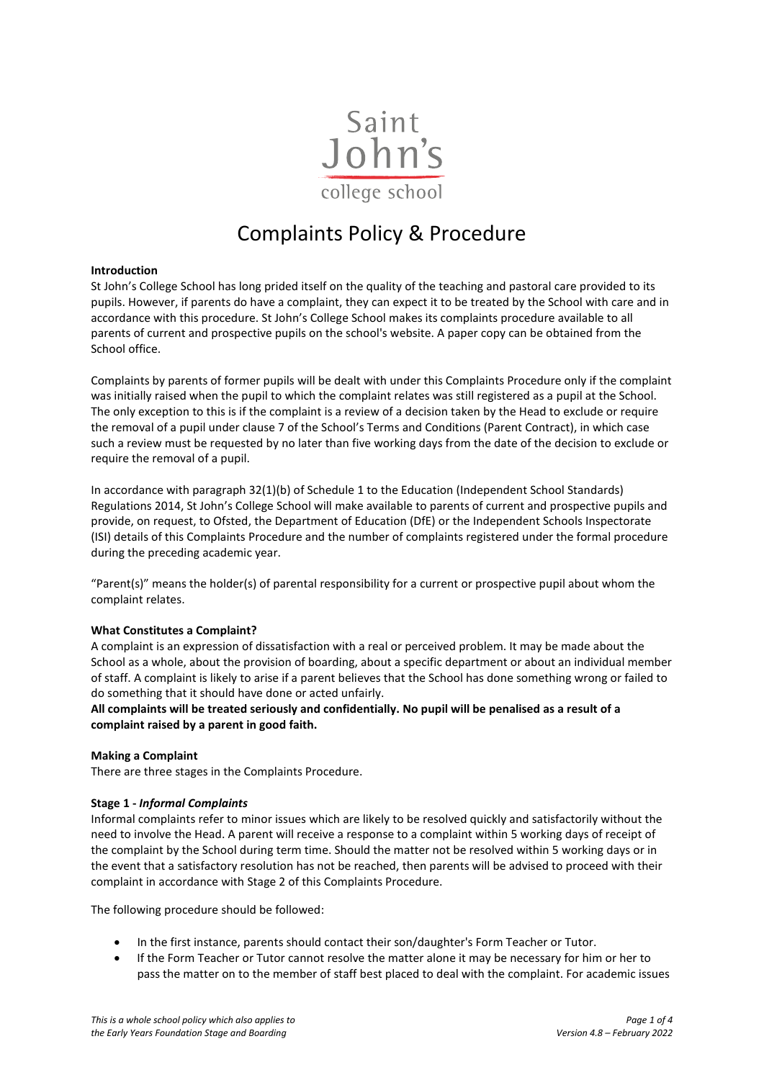

# Complaints Policy & Procedure

# **Introduction**

St John's College School has long prided itself on the quality of the teaching and pastoral care provided to its pupils. However, if parents do have a complaint, they can expect it to be treated by the School with care and in accordance with this procedure. St John's College School makes its complaints procedure available to all parents of current and prospective pupils on the school's website. A paper copy can be obtained from the School office.

Complaints by parents of former pupils will be dealt with under this Complaints Procedure only if the complaint was initially raised when the pupil to which the complaint relates was still registered as a pupil at the School. The only exception to this is if the complaint is a review of a decision taken by the Head to exclude or require the removal of a pupil under clause 7 of the School's Terms and Conditions (Parent Contract), in which case such a review must be requested by no later than five working days from the date of the decision to exclude or require the removal of a pupil.

In accordance with paragraph 32(1)(b) of Schedule 1 to the Education (Independent School Standards) Regulations 2014, St John's College School will make available to parents of current and prospective pupils and provide, on request, to Ofsted, the Department of Education (DfE) or the Independent Schools Inspectorate (ISI) details of this Complaints Procedure and the number of complaints registered under the formal procedure during the preceding academic year.

"Parent(s)" means the holder(s) of parental responsibility for a current or prospective pupil about whom the complaint relates.

# **What Constitutes a Complaint?**

A complaint is an expression of dissatisfaction with a real or perceived problem. It may be made about the School as a whole, about the provision of boarding, about a specific department or about an individual member of staff. A complaint is likely to arise if a parent believes that the School has done something wrong or failed to do something that it should have done or acted unfairly.

**All complaints will be treated seriously and confidentially. No pupil will be penalised as a result of a complaint raised by a parent in good faith.** 

#### **Making a Complaint**

There are three stages in the Complaints Procedure.

# **Stage 1 -** *Informal Complaints*

Informal complaints refer to minor issues which are likely to be resolved quickly and satisfactorily without the need to involve the Head. A parent will receive a response to a complaint within 5 working days of receipt of the complaint by the School during term time. Should the matter not be resolved within 5 working days or in the event that a satisfactory resolution has not be reached, then parents will be advised to proceed with their complaint in accordance with Stage 2 of this Complaints Procedure.

The following procedure should be followed:

- In the first instance, parents should contact their son/daughter's Form Teacher or Tutor.
- If the Form Teacher or Tutor cannot resolve the matter alone it may be necessary for him or her to pass the matter on to the member of staff best placed to deal with the complaint. For academic issues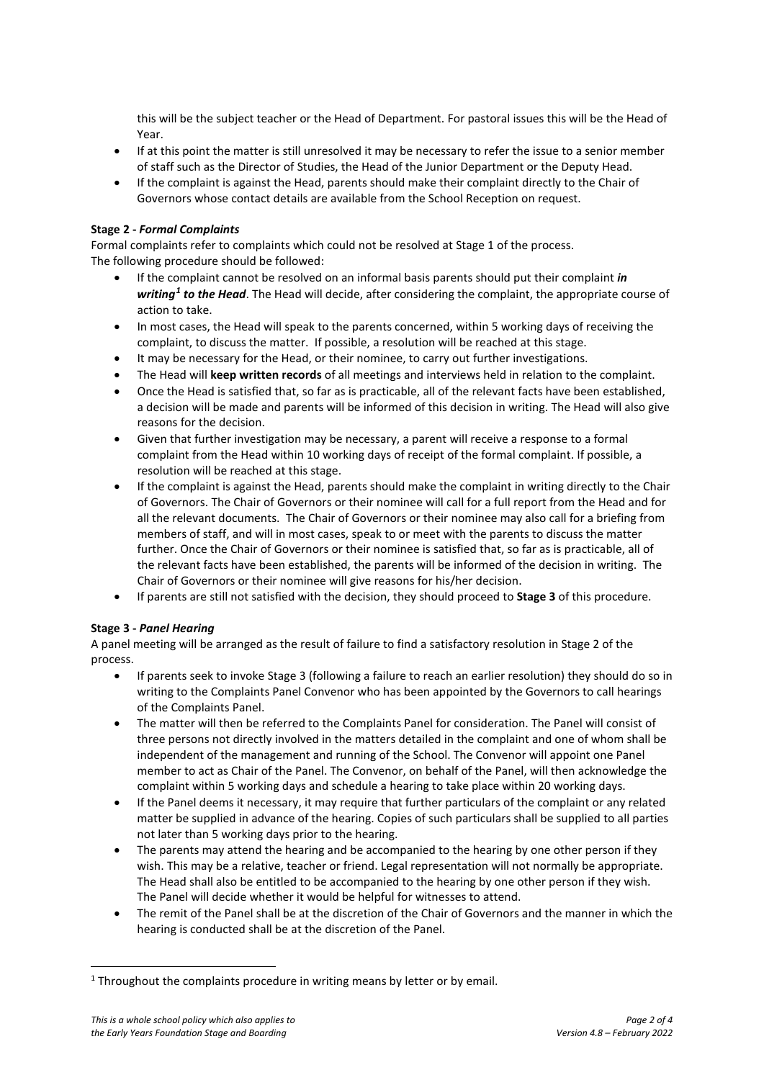this will be the subject teacher or the Head of Department. For pastoral issues this will be the Head of Year.

- If at this point the matter is still unresolved it may be necessary to refer the issue to a senior member of staff such as the Director of Studies, the Head of the Junior Department or the Deputy Head.
- If the complaint is against the Head, parents should make their complaint directly to the Chair of Governors whose contact details are available from the School Reception on request.

# **Stage 2 -** *Formal Complaints*

Formal complaints refer to complaints which could not be resolved at Stage 1 of the process. The following procedure should be followed:

- If the complaint cannot be resolved on an informal basis parents should put their complaint *in writing[1](#page-1-0) to the Head*. The Head will decide, after considering the complaint, the appropriate course of action to take.
- In most cases, the Head will speak to the parents concerned, within 5 working days of receiving the complaint, to discuss the matter. If possible, a resolution will be reached at this stage.
- It may be necessary for the Head, or their nominee, to carry out further investigations.
- The Head will **keep written records** of all meetings and interviews held in relation to the complaint.
- Once the Head is satisfied that, so far as is practicable, all of the relevant facts have been established, a decision will be made and parents will be informed of this decision in writing. The Head will also give reasons for the decision.
- Given that further investigation may be necessary, a parent will receive a response to a formal complaint from the Head within 10 working days of receipt of the formal complaint. If possible, a resolution will be reached at this stage.
- If the complaint is against the Head, parents should make the complaint in writing directly to the Chair of Governors. The Chair of Governors or their nominee will call for a full report from the Head and for all the relevant documents. The Chair of Governors or their nominee may also call for a briefing from members of staff, and will in most cases, speak to or meet with the parents to discuss the matter further. Once the Chair of Governors or their nominee is satisfied that, so far as is practicable, all of the relevant facts have been established, the parents will be informed of the decision in writing. The Chair of Governors or their nominee will give reasons for his/her decision.
- If parents are still not satisfied with the decision, they should proceed to **Stage 3** of this procedure.

# **Stage 3 -** *Panel Hearing*

A panel meeting will be arranged as the result of failure to find a satisfactory resolution in Stage 2 of the process.

- If parents seek to invoke Stage 3 (following a failure to reach an earlier resolution) they should do so in writing to the Complaints Panel Convenor who has been appointed by the Governors to call hearings of the Complaints Panel.
- The matter will then be referred to the Complaints Panel for consideration. The Panel will consist of three persons not directly involved in the matters detailed in the complaint and one of whom shall be independent of the management and running of the School. The Convenor will appoint one Panel member to act as Chair of the Panel. The Convenor, on behalf of the Panel, will then acknowledge the complaint within 5 working days and schedule a hearing to take place within 20 working days.
- If the Panel deems it necessary, it may require that further particulars of the complaint or any related matter be supplied in advance of the hearing. Copies of such particulars shall be supplied to all parties not later than 5 working days prior to the hearing.
- The parents may attend the hearing and be accompanied to the hearing by one other person if they wish. This may be a relative, teacher or friend. Legal representation will not normally be appropriate. The Head shall also be entitled to be accompanied to the hearing by one other person if they wish. The Panel will decide whether it would be helpful for witnesses to attend.
- The remit of the Panel shall be at the discretion of the Chair of Governors and the manner in which the hearing is conducted shall be at the discretion of the Panel.

<span id="page-1-0"></span> $1$  Throughout the complaints procedure in writing means by letter or by email.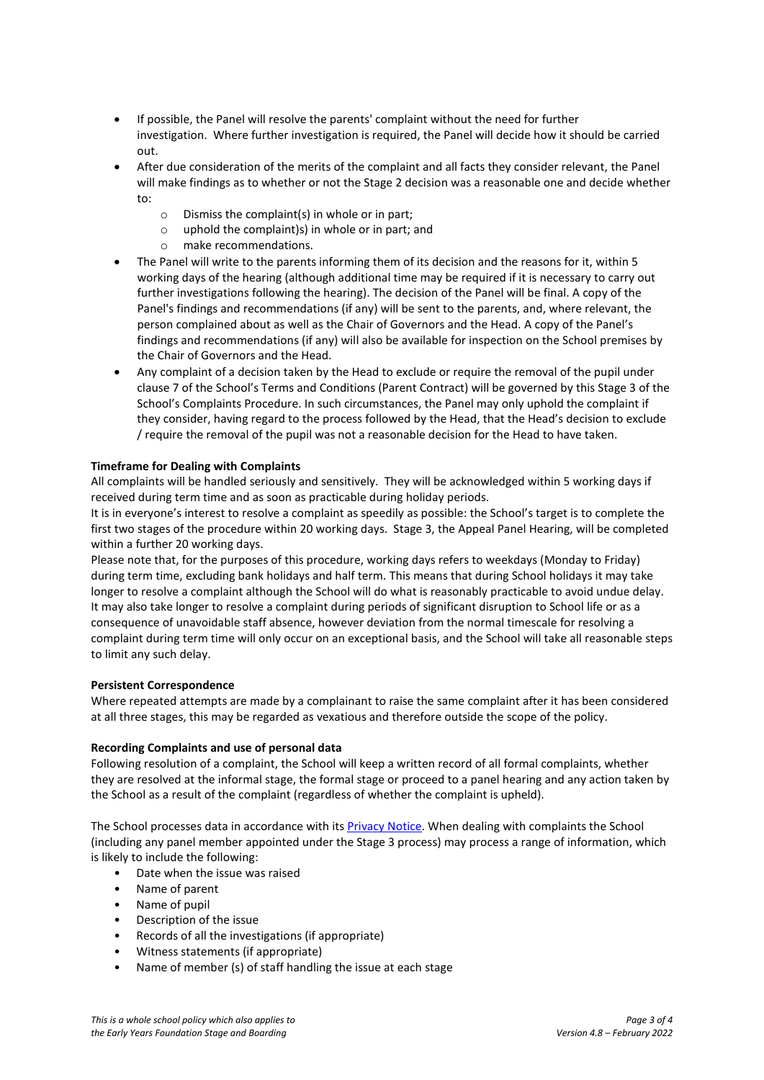- If possible, the Panel will resolve the parents' complaint without the need for further investigation. Where further investigation is required, the Panel will decide how it should be carried out.
- After due consideration of the merits of the complaint and all facts they consider relevant, the Panel will make findings as to whether or not the Stage 2 decision was a reasonable one and decide whether to:
	- $\circ$  Dismiss the complaint(s) in whole or in part;<br> $\circ$  uphold the complaint)s) in whole or in part;
	- uphold the complaint)s) in whole or in part; and
	- o make recommendations.
- The Panel will write to the parents informing them of its decision and the reasons for it, within 5 working days of the hearing (although additional time may be required if it is necessary to carry out further investigations following the hearing). The decision of the Panel will be final. A copy of the Panel's findings and recommendations (if any) will be sent to the parents, and, where relevant, the person complained about as well as the Chair of Governors and the Head. A copy of the Panel's findings and recommendations (if any) will also be available for inspection on the School premises by the Chair of Governors and the Head.
- Any complaint of a decision taken by the Head to exclude or require the removal of the pupil under clause 7 of the School's Terms and Conditions (Parent Contract) will be governed by this Stage 3 of the School's Complaints Procedure. In such circumstances, the Panel may only uphold the complaint if they consider, having regard to the process followed by the Head, that the Head's decision to exclude / require the removal of the pupil was not a reasonable decision for the Head to have taken.

# **Timeframe for Dealing with Complaints**

All complaints will be handled seriously and sensitively. They will be acknowledged within 5 working days if received during term time and as soon as practicable during holiday periods.

It is in everyone's interest to resolve a complaint as speedily as possible: the School's target is to complete the first two stages of the procedure within 20 working days. Stage 3, the Appeal Panel Hearing, will be completed within a further 20 working days.

Please note that, for the purposes of this procedure, working days refers to weekdays (Monday to Friday) during term time, excluding bank holidays and half term. This means that during School holidays it may take longer to resolve a complaint although the School will do what is reasonably practicable to avoid undue delay. It may also take longer to resolve a complaint during periods of significant disruption to School life or as a consequence of unavoidable staff absence, however deviation from the normal timescale for resolving a complaint during term time will only occur on an exceptional basis, and the School will take all reasonable steps to limit any such delay.

# **Persistent Correspondence**

Where repeated attempts are made by a complainant to raise the same complaint after it has been considered at all three stages, this may be regarded as vexatious and therefore outside the scope of the policy.

# **Recording Complaints and use of personal data**

Following resolution of a complaint, the School will keep a written record of all formal complaints, whether they are resolved at the informal stage, the formal stage or proceed to a panel hearing and any action taken by the School as a result of the complaint (regardless of whether the complaint is upheld).

The School processes data in accordance with its [Privacy Notice.](https://www.sjcs.co.uk/sites/default/files/styles/Policies/SJCS%20Privacy%20Notice.pdf) When dealing with complaints the School (including any panel member appointed under the Stage 3 process) may process a range of information, which is likely to include the following:

- Date when the issue was raised
- Name of parent
- Name of pupil
- Description of the issue
- Records of all the investigations (if appropriate)
- Witness statements (if appropriate)
- Name of member (s) of staff handling the issue at each stage